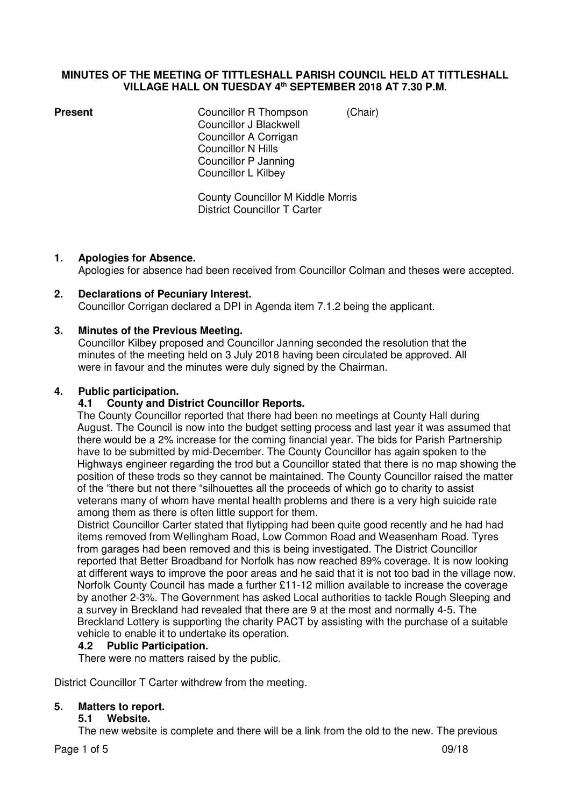## **MINUTES OF THE MEETING OF TITTLESHALL PARISH COUNCIL HELD AT TITTLESHALL VILLAGE HALL ON TUESDAY 4th SEPTEMBER 2018 AT 7.30 P.M.**

**Present Councillor R Thompson** *(Chair)*  Councillor J Blackwell Councillor A Corrigan Councillor N Hills Councillor P Janning Councillor L Kilbey

> County Councillor M Kiddle Morris District Councillor T Carter

## **1. Apologies for Absence.**

Apologies for absence had been received from Councillor Colman and theses were accepted.

## **2. Declarations of Pecuniary Interest.**  Councillor Corrigan declared a DPI in Agenda item 7.1.2 being the applicant.

# **3. Minutes of the Previous Meeting.**

Councillor Kilbey proposed and Councillor Janning seconded the resolution that the minutes of the meeting held on 3 July 2018 having been circulated be approved. All were in favour and the minutes were duly signed by the Chairman.

## **4. Public participation.**

## **4.1 County and District Councillor Reports.**

The County Councillor reported that there had been no meetings at County Hall during August. The Council is now into the budget setting process and last year it was assumed that there would be a 2% increase for the coming financial year. The bids for Parish Partnership have to be submitted by mid-December. The County Councillor has again spoken to the Highways engineer regarding the trod but a Councillor stated that there is no map showing the position of these trods so they cannot be maintained. The County Councillor raised the matter of the "there but not there "silhouettes all the proceeds of which go to charity to assist veterans many of whom have mental health problems and there is a very high suicide rate among them as there is often little support for them.

District Councillor Carter stated that flytipping had been quite good recently and he had had items removed from Wellingham Road, Low Common Road and Weasenham Road. Tyres from garages had been removed and this is being investigated. The District Councillor reported that Better Broadband for Norfolk has now reached 89% coverage. It is now looking at different ways to improve the poor areas and he said that it is not too bad in the village now. Norfolk County Council has made a further £11-12 million available to increase the coverage by another 2-3%. The Government has asked Local authorities to tackle Rough Sleeping and a survey in Breckland had revealed that there are 9 at the most and normally 4-5. The Breckland Lottery is supporting the charity PACT by assisting with the purchase of a suitable vehicle to enable it to undertake its operation.

## **4.2 Public Participation.**

There were no matters raised by the public.

District Councillor T Carter withdrew from the meeting.

## **5. Matters to report.**

## **5.1 Website.**

The new website is complete and there will be a link from the old to the new. The previous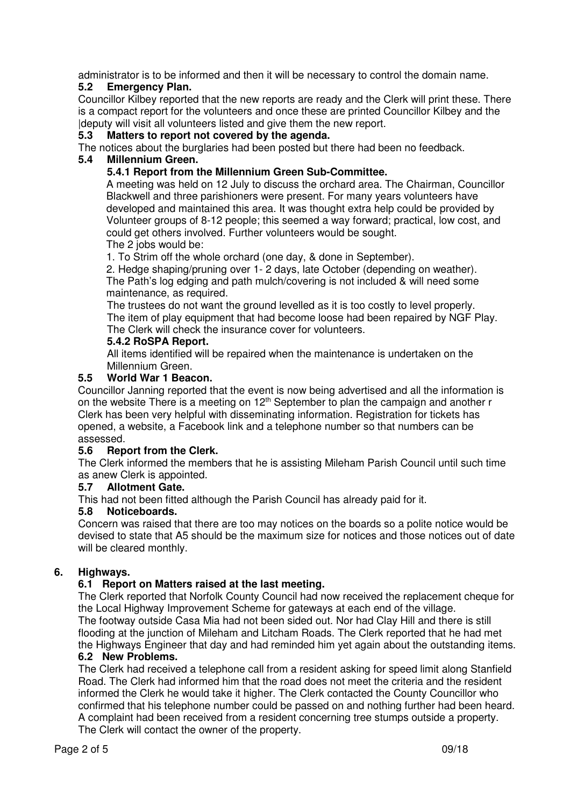administrator is to be informed and then it will be necessary to control the domain name.

# **5.2 Emergency Plan.**

Councillor Kilbey reported that the new reports are ready and the Clerk will print these. There is a compact report for the volunteers and once these are printed Councillor Kilbey and the |deputy will visit all volunteers listed and give them the new report.

## **5.3 Matters to report not covered by the agenda.**

The notices about the burglaries had been posted but there had been no feedback.

## **5.4 Millennium Green.**

# **5.4.1 Report from the Millennium Green Sub-Committee.**

A meeting was held on 12 July to discuss the orchard area. The Chairman, Councillor Blackwell and three parishioners were present. For many years volunteers have developed and maintained this area. It was thought extra help could be provided by Volunteer groups of 8-12 people; this seemed a way forward; practical, low cost, and could get others involved. Further volunteers would be sought.

The 2 jobs would be:

1. To Strim off the whole orchard (one day, & done in September).

 2. Hedge shaping/pruning over 1- 2 days, late October (depending on weather). The Path's log edging and path mulch/covering is not included & will need some maintenance, as required.

The trustees do not want the ground levelled as it is too costly to level properly. The item of play equipment that had become loose had been repaired by NGF Play. The Clerk will check the insurance cover for volunteers.

# **5.4.2 RoSPA Report.**

All items identified will be repaired when the maintenance is undertaken on the Millennium Green.

## **5.5 World War 1 Beacon.**

Councillor Janning reported that the event is now being advertised and all the information is on the website There is a meeting on  $12<sup>th</sup>$  September to plan the campaign and another r Clerk has been very helpful with disseminating information. Registration for tickets has opened, a website, a Facebook link and a telephone number so that numbers can be assessed.<br>5.6 Rep

## **Report from the Clerk.**

The Clerk informed the members that he is assisting Mileham Parish Council until such time as anew Clerk is appointed.

## **5.7 Allotment Gate.**

This had not been fitted although the Parish Council has already paid for it.

## **5.8 Noticeboards.**

Concern was raised that there are too may notices on the boards so a polite notice would be devised to state that A5 should be the maximum size for notices and those notices out of date will be cleared monthly.

# **6. Highways.**

# **6.1 Report on Matters raised at the last meeting.**

The Clerk reported that Norfolk County Council had now received the replacement cheque for the Local Highway Improvement Scheme for gateways at each end of the village. The footway outside Casa Mia had not been sided out. Nor had Clay Hill and there is still flooding at the junction of Mileham and Litcham Roads. The Clerk reported that he had met the Highways Engineer that day and had reminded him yet again about the outstanding items. **6.2 New Problems.** 

The Clerk had received a telephone call from a resident asking for speed limit along Stanfield Road. The Clerk had informed him that the road does not meet the criteria and the resident informed the Clerk he would take it higher. The Clerk contacted the County Councillor who confirmed that his telephone number could be passed on and nothing further had been heard. A complaint had been received from a resident concerning tree stumps outside a property. The Clerk will contact the owner of the property.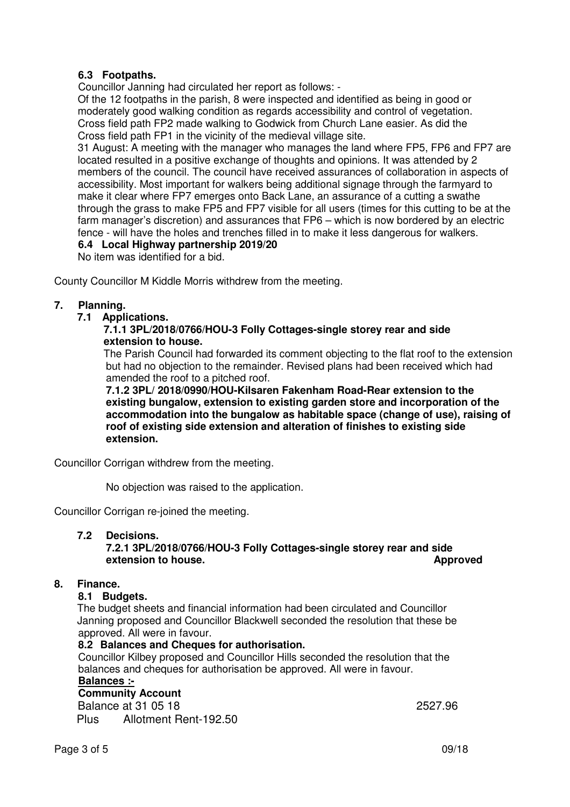# **6.3 Footpaths.**

Councillor Janning had circulated her report as follows: -

 Of the 12 footpaths in the parish, 8 were inspected and identified as being in good or moderately good walking condition as regards accessibility and control of vegetation. Cross field path FP2 made walking to Godwick from Church Lane easier. As did the Cross field path FP1 in the vicinity of the medieval village site.

 31 August: A meeting with the manager who manages the land where FP5, FP6 and FP7 are located resulted in a positive exchange of thoughts and opinions. It was attended by 2 members of the council. The council have received assurances of collaboration in aspects of accessibility. Most important for walkers being additional signage through the farmyard to make it clear where FP7 emerges onto Back Lane, an assurance of a cutting a swathe through the grass to make FP5 and FP7 visible for all users (times for this cutting to be at the farm manager's discretion) and assurances that FP6 – which is now bordered by an electric fence - will have the holes and trenches filled in to make it less dangerous for walkers.

## **6.4 Local Highway partnership 2019/20**

No item was identified for a bid.

County Councillor M Kiddle Morris withdrew from the meeting.

## **7. Planning.**

 **7.1 Applications.** 

## **7.1.1 3PL/2018/0766/HOU-3 Folly Cottages-single storey rear and side extension to house.**

The Parish Council had forwarded its comment objecting to the flat roof to the extension but had no objection to the remainder. Revised plans had been received which had amended the roof to a pitched roof.

 **7.1.2 3PL/ 2018/0990/HOU-Kilsaren Fakenham Road-Rear extension to the existing bungalow, extension to existing garden store and incorporation of the accommodation into the bungalow as habitable space (change of use), raising of roof of existing side extension and alteration of finishes to existing side extension.** 

Councillor Corrigan withdrew from the meeting.

No objection was raised to the application.

Councillor Corrigan re-joined the meeting.

## **7.2 Decisions.**

## **7.2.1 3PL/2018/0766/HOU-3 Folly Cottages-single storey rear and side extension to house.** Approved *extension to house.*

## **8. Finance.**

## **8.1 Budgets.**

The budget sheets and financial information had been circulated and Councillor Janning proposed and Councillor Blackwell seconded the resolution that these be approved. All were in favour.

## **8.2 Balances and Cheques for authorisation.**

Councillor Kilbey proposed and Councillor Hills seconded the resolution that the balances and cheques for authorisation be approved. All were in favour.

# **Balances :-**

 **Community Account** 

**Balance at 31 05 18** 2527.96 Plus Allotment Rent-192.50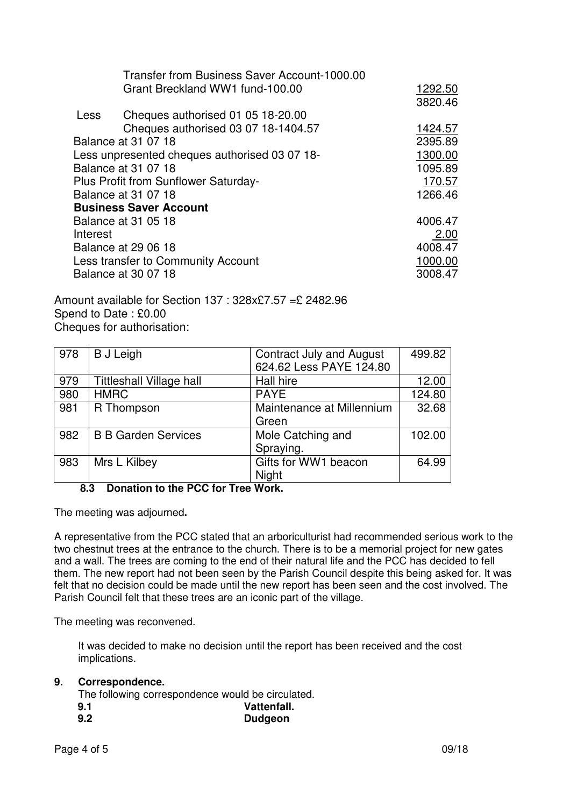|                               | Transfer from Business Saver Account-1000.00  |         |
|-------------------------------|-----------------------------------------------|---------|
|                               | Grant Breckland WW1 fund-100.00               | 1292.50 |
|                               |                                               | 3820.46 |
| <b>Less</b>                   | Cheques authorised 01 05 18-20.00             |         |
|                               | Cheques authorised 03 07 18-1404.57           | 1424.57 |
|                               | Balance at 31 07 18                           | 2395.89 |
|                               | Less unpresented cheques authorised 03 07 18- | 1300.00 |
|                               | Balance at 31 07 18                           | 1095.89 |
|                               | <b>Plus Profit from Sunflower Saturday-</b>   | 170.57  |
|                               | Balance at 31 07 18                           | 1266.46 |
| <b>Business Saver Account</b> |                                               |         |
|                               | Balance at 31 05 18                           | 4006.47 |
| Interest                      |                                               | 2.00    |
|                               | Balance at 29 06 18                           | 4008.47 |
|                               | Less transfer to Community Account            | 1000.00 |
|                               | Balance at 30 07 18                           | 3008.47 |
|                               |                                               |         |

Amount available for Section 137 : 328x£7.57 =£ 2482.96 Spend to Date : £0.00 Cheques for authorisation:

| 978 | <b>B</b> J Leigh                | <b>Contract July and August</b> | 499.82 |
|-----|---------------------------------|---------------------------------|--------|
|     |                                 | 624.62 Less PAYE 124.80         |        |
| 979 | <b>Tittleshall Village hall</b> | Hall hire                       | 12.00  |
| 980 | <b>HMRC</b>                     | <b>PAYE</b>                     | 124.80 |
| 981 | R Thompson                      | Maintenance at Millennium       | 32.68  |
|     |                                 | Green                           |        |
| 982 | <b>B B Garden Services</b>      | Mole Catching and               | 102.00 |
|     |                                 | Spraying.                       |        |
| 983 | Mrs L Kilbey                    | Gifts for WW1 beacon            | 64.99  |
|     |                                 | Night                           |        |

## **8.3 Donation to the PCC for Tree Work.**

The meeting was adjourned**.** 

A representative from the PCC stated that an arboriculturist had recommended serious work to the two chestnut trees at the entrance to the church. There is to be a memorial project for new gates and a wall. The trees are coming to the end of their natural life and the PCC has decided to fell them. The new report had not been seen by the Parish Council despite this being asked for. It was felt that no decision could be made until the new report has been seen and the cost involved. The Parish Council felt that these trees are an iconic part of the village.

The meeting was reconvened.

 It was decided to make no decision until the report has been received and the cost implications.

## **9. Correspondence.**

The following correspondence would be circulated.

 **9.1 Vattenfall. 9.2 Dudgeon**